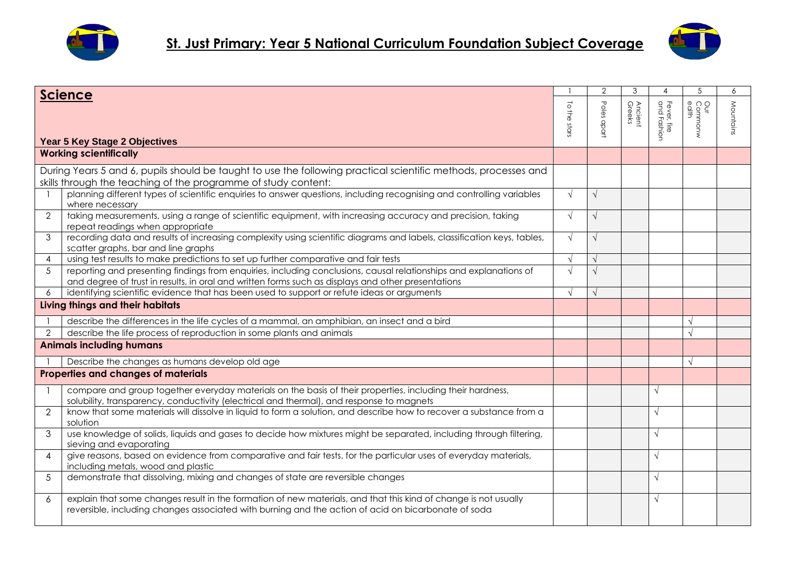



|                           | <b>Science</b>                                                                                                                                                                                                          |                                 | 2           | 3                 |                            | 5                       | 6         |
|---------------------------|-------------------------------------------------------------------------------------------------------------------------------------------------------------------------------------------------------------------------|---------------------------------|-------------|-------------------|----------------------------|-------------------------|-----------|
|                           | Year 5 Key Stage 2 Objectives                                                                                                                                                                                           | $\overline{\circ}$<br>the stars | Poles apart | Ancient<br>Greeks | Fever, fire<br>and Fashion | Our<br>Commonw<br>ealth | Mountains |
|                           | <b>Working scientifically</b>                                                                                                                                                                                           |                                 |             |                   |                            |                         |           |
|                           | During Years 5 and 6, pupils should be taught to use the following practical scientific methods, processes and<br>skills through the teaching of the programme of study content:                                        |                                 |             |                   |                            |                         |           |
|                           | planning different types of scientific enquiries to answer questions, including recognising and controlling variables<br>where necessary                                                                                | $\sqrt{ }$                      | $\sqrt{ }$  |                   |                            |                         |           |
| $\overline{2}$            | taking measurements, using a range of scientific equipment, with increasing accuracy and precision, taking<br>repeat readings when appropriate                                                                          | $\sqrt{ }$                      | $\sqrt{}$   |                   |                            |                         |           |
| 3                         | recording data and results of increasing complexity using scientific diagrams and labels, classification keys, tables,<br>scatter graphs, bar and line graphs                                                           | $\sqrt{ }$                      | $\sqrt{}$   |                   |                            |                         |           |
| $\overline{4}$            | using test results to make predictions to set up further comparative and fair tests                                                                                                                                     | $\sqrt{ }$                      |             |                   |                            |                         |           |
| $\overline{5}$            | reporting and presenting findings from enquiries, including conclusions, causal relationships and explanations of<br>and degree of trust in results, in oral and written forms such as displays and other presentations | $\sqrt{ }$                      |             |                   |                            |                         |           |
| $\overline{6}$            | identifying scientific evidence that has been used to support or refute ideas or arguments                                                                                                                              | $\sqrt{ }$                      | $\sqrt{ }$  |                   |                            |                         |           |
|                           | Living things and their habitats                                                                                                                                                                                        |                                 |             |                   |                            |                         |           |
|                           | describe the differences in the life cycles of a mammal, an amphibian, an insect and a bird                                                                                                                             |                                 |             |                   |                            | $\sqrt{ }$              |           |
| $\overline{2}$            | describe the life process of reproduction in some plants and animals                                                                                                                                                    |                                 |             |                   |                            | $\sqrt{ }$              |           |
|                           | <b>Animals including humans</b>                                                                                                                                                                                         |                                 |             |                   |                            |                         |           |
|                           | Describe the changes as humans develop old age                                                                                                                                                                          |                                 |             |                   |                            | $\sqrt{ }$              |           |
|                           | Properties and changes of materials                                                                                                                                                                                     |                                 |             |                   |                            |                         |           |
|                           | compare and group together everyday materials on the basis of their properties, including their hardness,<br>solubility, transparency, conductivity (electrical and thermal), and response to magnets                   |                                 |             |                   | $\sqrt{ }$                 |                         |           |
| $\overline{2}$            | know that some materials will dissolve in liquid to form a solution, and describe how to recover a substance from a<br>solution                                                                                         |                                 |             |                   | $\sqrt{ }$                 |                         |           |
| 3                         | use knowledge of solids, liquids and gases to decide how mixtures might be separated, including through filtering,<br>sieving and evaporating                                                                           |                                 |             |                   | $\sqrt{ }$                 |                         |           |
| $\boldsymbol{\varLambda}$ | give reasons, based on evidence from comparative and fair tests, for the particular uses of everyday materials,<br>including metals, wood and plastic                                                                   |                                 |             |                   | $\sqrt{ }$                 |                         |           |
| $\overline{5}$            | demonstrate that dissolving, mixing and changes of state are reversible changes                                                                                                                                         |                                 |             |                   | $\sqrt{ }$                 |                         |           |
| 6                         | explain that some changes result in the formation of new materials, and that this kind of change is not usually<br>reversible, including changes associated with burning and the action of acid on bicarbonate of soda  |                                 |             |                   | $\sqrt{ }$                 |                         |           |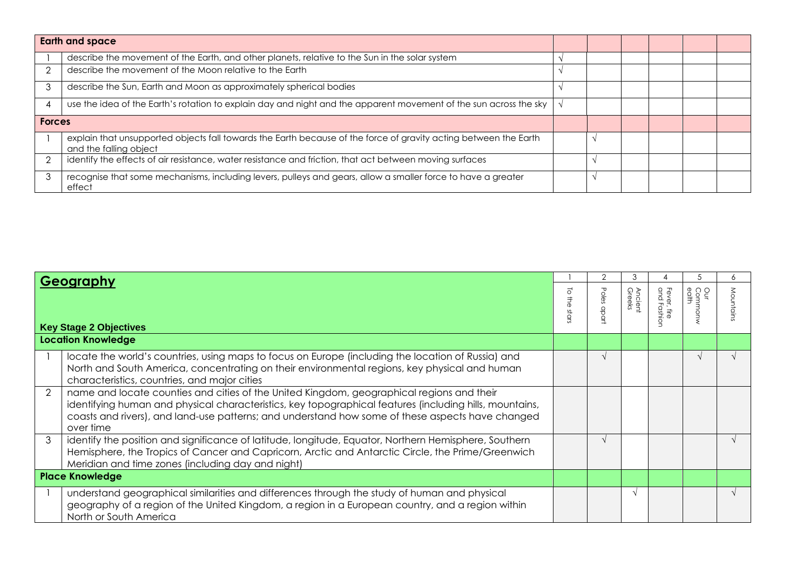|   | <b>Earth and space</b>                                                                                                                     |  |  |  |  |
|---|--------------------------------------------------------------------------------------------------------------------------------------------|--|--|--|--|
|   | describe the movement of the Earth, and other planets, relative to the Sun in the solar system                                             |  |  |  |  |
|   | describe the movement of the Moon relative to the Earth                                                                                    |  |  |  |  |
| 3 | describe the Sun, Earth and Moon as approximately spherical bodies                                                                         |  |  |  |  |
|   | use the idea of the Earth's rotation to explain day and night and the apparent movement of the sun across the sky                          |  |  |  |  |
|   | <b>Forces</b>                                                                                                                              |  |  |  |  |
|   | explain that unsupported objects fall towards the Earth because of the force of gravity acting between the Earth<br>and the falling object |  |  |  |  |
|   | identify the effects of air resistance, water resistance and friction, that act between moving surfaces                                    |  |  |  |  |
| 3 | recognise that some mechanisms, including levers, pulleys and gears, allow a smaller force to have a greater<br>effect                     |  |  |  |  |

| Geography              |                                                                                                                                                                                                                                                                                                                       |          |            |                   |                               |                        |           |
|------------------------|-----------------------------------------------------------------------------------------------------------------------------------------------------------------------------------------------------------------------------------------------------------------------------------------------------------------------|----------|------------|-------------------|-------------------------------|------------------------|-----------|
|                        | <b>Key Stage 2 Objectives</b>                                                                                                                                                                                                                                                                                         | $\Omega$ | Poles<br>유 | Ancient<br>Greeks | Fever, fire<br>and Fashi<br>∩ | Our<br>Common<br>edlth | Mountain: |
|                        | <b>Location Knowledge</b>                                                                                                                                                                                                                                                                                             |          |            |                   |                               |                        |           |
|                        | locate the world's countries, using maps to focus on Europe (including the location of Russia) and<br>North and South America, concentrating on their environmental regions, key physical and human<br>characteristics, countries, and major cities                                                                   |          |            |                   |                               |                        |           |
| 2                      | name and locate counties and cities of the United Kingdom, geographical regions and their<br>identifying human and physical characteristics, key topographical features (including hills, mountains,<br>coasts and rivers), and land-use patterns; and understand how some of these aspects have changed<br>over time |          |            |                   |                               |                        |           |
| 3                      | identify the position and significance of latitude, longitude, Equator, Northern Hemisphere, Southern<br>Hemisphere, the Tropics of Cancer and Capricorn, Arctic and Antarctic Circle, the Prime/Greenwich<br>Meridian and time zones (including day and night)                                                       |          |            |                   |                               |                        |           |
| <b>Place Knowledge</b> |                                                                                                                                                                                                                                                                                                                       |          |            |                   |                               |                        |           |
|                        | understand geographical similarities and differences through the study of human and physical<br>geography of a region of the United Kingdom, a region in a European country, and a region within<br>North or South America                                                                                            |          |            |                   |                               |                        |           |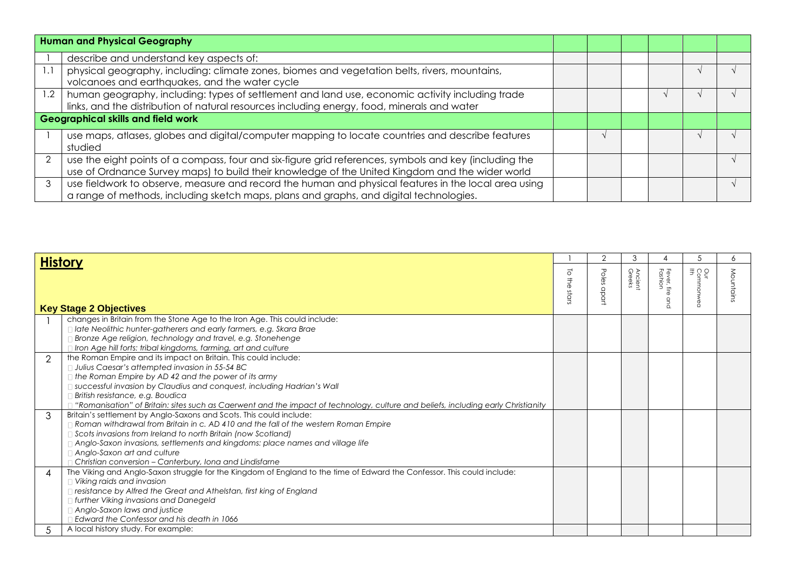|     | <b>Human and Physical Geography</b>                                                                                                                                                                       |  |  |  |  |
|-----|-----------------------------------------------------------------------------------------------------------------------------------------------------------------------------------------------------------|--|--|--|--|
|     | describe and understand key aspects of:                                                                                                                                                                   |  |  |  |  |
|     | physical geography, including: climate zones, biomes and vegetation belts, rivers, mountains,<br>volcanoes and earthquakes, and the water cycle                                                           |  |  |  |  |
| 1.2 | human geography, including: types of settlement and land use, economic activity including trade<br>links, and the distribution of natural resources including energy, food, minerals and water            |  |  |  |  |
|     | <b>Geographical skills and field work</b>                                                                                                                                                                 |  |  |  |  |
|     | use maps, atlases, globes and digital/computer mapping to locate countries and describe features<br>studied                                                                                               |  |  |  |  |
|     | use the eight points of a compass, four and six-figure grid references, symbols and key (including the<br>use of Ordnance Survey maps) to build their knowledge of the United Kingdom and the wider world |  |  |  |  |
|     | use fieldwork to observe, measure and record the human and physical features in the local area using<br>a range of methods, including sketch maps, plans and graphs, and digital technologies.            |  |  |  |  |

| <b>History</b>           |                                                                                                                                                                                                                                                                                                                                                                                                                                      |                                                     |                             |                   |                        |                      |          |
|--------------------------|--------------------------------------------------------------------------------------------------------------------------------------------------------------------------------------------------------------------------------------------------------------------------------------------------------------------------------------------------------------------------------------------------------------------------------------|-----------------------------------------------------|-----------------------------|-------------------|------------------------|----------------------|----------|
|                          | <b>Key Stage 2 Objectives</b>                                                                                                                                                                                                                                                                                                                                                                                                        | $\overline{\circ}$<br>$\vec{\overline{z}}$<br>stars | Poles<br>$\frac{Q}{C}$<br>ğ | Ancient<br>Greeks | Fever, fire<br>Fashion | Our<br>Common<br>Iff | Mountain |
|                          | changes in Britain from the Stone Age to the Iron Age. This could include:<br>$\Box$ late Neolithic hunter-gatherers and early farmers, e.g. Skara Brae<br>Bronze Age religion, technology and travel, e.g. Stonehenge<br>Iron Age hill forts: tribal kingdoms, farming, art and culture                                                                                                                                             |                                                     |                             |                   |                        |                      |          |
| $\overline{2}$           | the Roman Empire and its impact on Britain. This could include:<br>Julius Caesar's attempted invasion in 55-54 BC<br>$\Box$ the Roman Empire by AD 42 and the power of its army<br>□ successful invasion by Claudius and conquest, including Hadrian's Wall<br>British resistance, e.g. Boudica<br>"Romanisation" of Britain: sites such as Caerwent and the impact of technology, culture and beliefs, including early Christianity |                                                     |                             |                   |                        |                      |          |
| 3                        | Britain's settlement by Anglo-Saxons and Scots. This could include:<br>$\Box$ Roman withdrawal from Britain in c. AD 410 and the fall of the western Roman Empire<br>□ Scots invasions from Ireland to north Britain (now Scotland)<br>$\Box$ Anglo-Saxon invasions, settlements and kingdoms: place names and village life<br>Anglo-Saxon art and culture<br>Christian conversion - Canterbury, Iona and Lindisfarne                |                                                     |                             |                   |                        |                      |          |
| $\boldsymbol{\varDelta}$ | The Viking and Anglo-Saxon struggle for the Kingdom of England to the time of Edward the Confessor. This could include:<br>Viking raids and invasion<br>□ resistance by Alfred the Great and Athelstan, first king of England<br>I further Viking invasions and Danegeld<br>Anglo-Saxon laws and justice<br>Edward the Confessor and his death in 1066                                                                               |                                                     |                             |                   |                        |                      |          |
|                          | A local history study. For example:                                                                                                                                                                                                                                                                                                                                                                                                  |                                                     |                             |                   |                        |                      |          |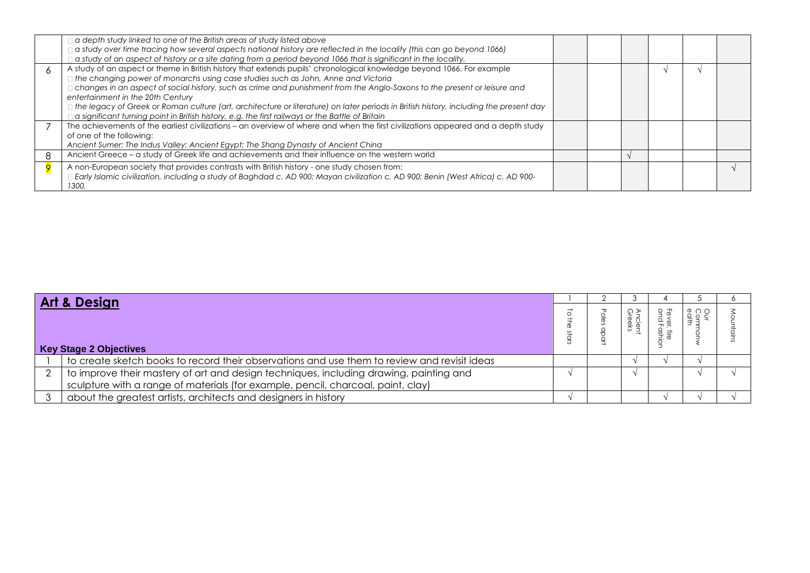| $\Box$ a depth study linked to one of the British areas of study listed above<br>d study over time tracing how several aspects national history are reflected in the locality (this can go beyond 1066)<br>a study of an aspect of history or a site dating from a period beyond 1066 that is significant in the locality.                                                                                                                                                                                                                                                                                                              |  |  |  |
|-----------------------------------------------------------------------------------------------------------------------------------------------------------------------------------------------------------------------------------------------------------------------------------------------------------------------------------------------------------------------------------------------------------------------------------------------------------------------------------------------------------------------------------------------------------------------------------------------------------------------------------------|--|--|--|
| A study of an aspect or theme in British history that extends pupils' chronological knowledge beyond 1066. For example<br>□ the changing power of monarchs using case studies such as John, Anne and Victoria<br>changes in an aspect of social history, such as crime and punishment from the Anglo-Saxons to the present or leisure and<br>entertainment in the 20th Century<br>□ the legacy of Greek or Roman culture (art, architecture or literature) on later periods in British history, including the present day<br>$\exists$ a significant turning point in British history, e.g. the first railways or the Battle of Britain |  |  |  |
| The achievements of the earliest civilizations - an overview of where and when the first civilizations appeared and a depth study<br>of one of the following:<br>Ancient Sumer; The Indus Valley; Ancient Egypt; The Shang Dynasty of Ancient China                                                                                                                                                                                                                                                                                                                                                                                     |  |  |  |
| Ancient Greece – a study of Greek life and achievements and their influence on the western world                                                                                                                                                                                                                                                                                                                                                                                                                                                                                                                                        |  |  |  |
| A non-European society that provides contrasts with British history - one study chosen from:<br>Early Islamic civilization, including a study of Baghdad c. AD 900; Mayan civilization c. AD 900; Benin (West Africa) c. AD 900-<br>1300.                                                                                                                                                                                                                                                                                                                                                                                               |  |  |  |

| <b>Art &amp; Design</b> |                                                                                              |  |  |                    |  |
|-------------------------|----------------------------------------------------------------------------------------------|--|--|--------------------|--|
|                         | <b>Key Stage 2 Objectives</b>                                                                |  |  | O<br>$\frac{1}{2}$ |  |
|                         | to create sketch books to record their observations and use them to review and revisit ideas |  |  |                    |  |
| ↷                       | to improve their mastery of art and design techniques, including drawing, painting and       |  |  |                    |  |
|                         | sculpture with a range of materials (for example, pencil, charcoal, paint, clay)             |  |  |                    |  |
|                         | about the greatest artists, architects and designers in history                              |  |  |                    |  |